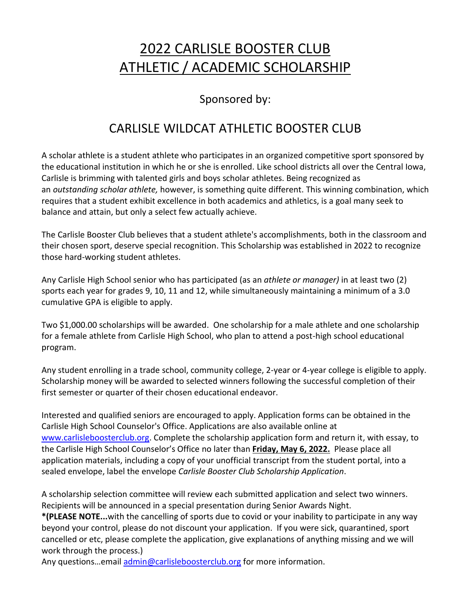# 2022 CARLISLE BOOSTER CLUB ATHLETIC / ACADEMIC SCHOLARSHIP

### Sponsored by:

# CARLISLE WILDCAT ATHLETIC BOOSTER CLUB

A scholar athlete is a student athlete who participates in an organized competitive sport sponsored by the educational institution in which he or she is enrolled. Like school districts all over the Central Iowa, Carlisle is brimming with talented girls and boys scholar athletes. Being recognized as an *outstanding scholar athlete,* however, is something quite different. This winning combination, which requires that a student exhibit excellence in both academics and athletics, is a goal many seek to balance and attain, but only a select few actually achieve.

The Carlisle Booster Club believes that a student athlete's accomplishments, both in the classroom and their chosen sport, deserve special recognition. This Scholarship was established in 2022 to recognize those hard-working student athletes.

Any Carlisle High School senior who has participated (as an *athlete or manager)* in at least two (2) sports each year for grades 9, 10, 11 and 12, while simultaneously maintaining a minimum of a 3.0 cumulative GPA is eligible to apply.

Two \$1,000.00 scholarships will be awarded. One scholarship for a male athlete and one scholarship for a female athlete from Carlisle High School, who plan to attend a post-high school educational program.

Any student enrolling in a trade school, community college, 2-year or 4-year college is eligible to apply. Scholarship money will be awarded to selected winners following the successful completion of their first semester or quarter of their chosen educational endeavor.

Interested and qualified seniors are encouraged to apply. Application forms can be obtained in the Carlisle High School Counselor's Office. Applications are also available online at [www.carlisleboosterclub.org.](http://www.carlisleboosterclub.org/) Complete the scholarship application form and return it, with essay, to the Carlisle High School Counselor's Office no later than **Friday, May 6, 2022.** Please place all application materials, including a copy of your unofficial transcript from the student portal, into a sealed envelope, label the envelope *Carlisle Booster Club Scholarship Application*.

A scholarship selection committee will review each submitted application and select two winners. Recipients will be announced in a special presentation during Senior Awards Night.

**\*(PLEASE NOTE...**with the cancelling of sports due to covid or your inability to participate in any way beyond your control, please do not discount your application. If you were sick, quarantined, sport cancelled or etc, please complete the application, give explanations of anything missing and we will work through the process.)

Any questions...email [admin@carlisleboosterclub.org](mailto:admin@carlisleboosterclub.org) for more information.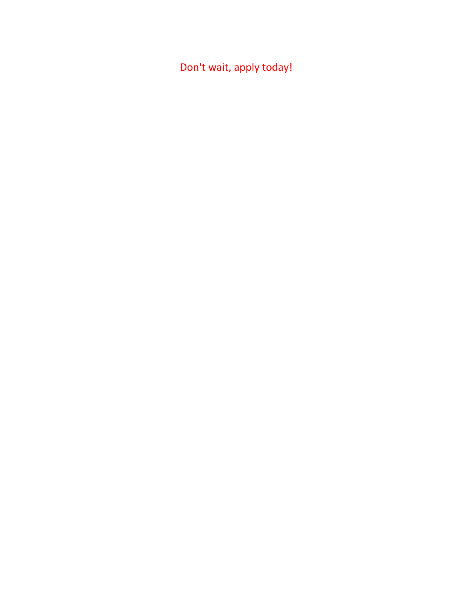Don't wait, apply today!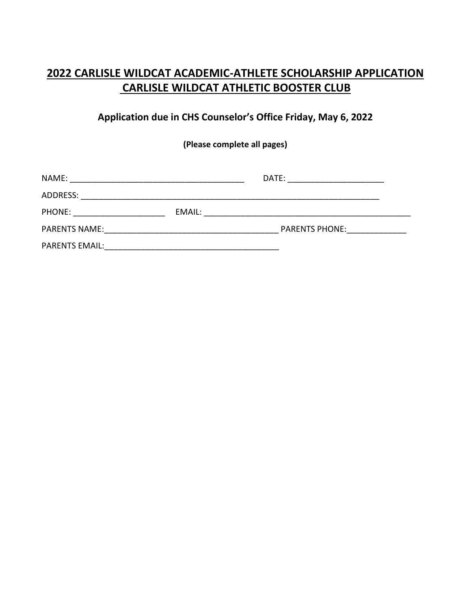### **2022 CARLISLE WILDCAT ACADEMIC-ATHLETE SCHOLARSHIP APPLICATION CARLISLE WILDCAT ATHLETIC BOOSTER CLUB**

#### **Application due in CHS Counselor's Office Friday, May 6, 2022**

**(Please complete all pages)**

| NAME:                 |        | DATE:                 |
|-----------------------|--------|-----------------------|
| ADDRESS:              |        |                       |
| PHONE:                | EMAIL: |                       |
| <b>PARENTS NAME:</b>  |        | <b>PARENTS PHONE:</b> |
| <b>PARENTS EMAIL:</b> |        |                       |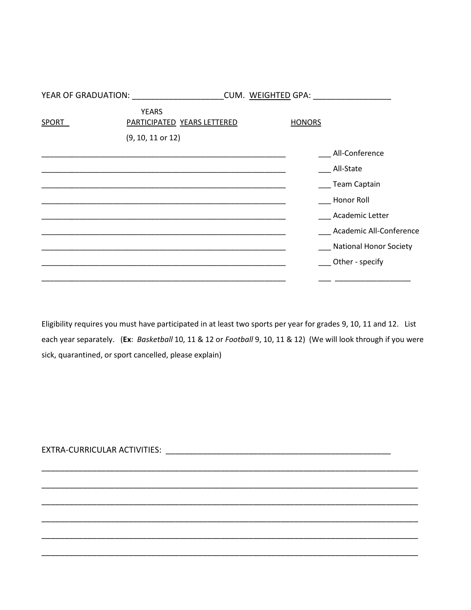|       | YEAR OF GRADUATION: YEAR OF GRADUATION      | CUM. WEIGHTED GPA: |                               |
|-------|---------------------------------------------|--------------------|-------------------------------|
| SPORT | <b>YEARS</b><br>PARTICIPATED YEARS LETTERED | <b>HONORS</b>      |                               |
|       | $(9, 10, 11$ or $12)$                       |                    |                               |
|       |                                             |                    | All-Conference                |
|       |                                             |                    | All-State                     |
|       |                                             |                    | Team Captain                  |
|       |                                             |                    | Honor Roll                    |
|       |                                             |                    | <b>Academic Letter</b>        |
|       |                                             |                    | Academic All-Conference       |
|       |                                             |                    | <b>National Honor Society</b> |
|       |                                             |                    | Other - specify               |
|       |                                             |                    |                               |

Eligibility requires you must have participated in at least two sports per year for grades 9, 10, 11 and 12. List each year separately. (Ex: Basketball 10, 11 & 12 or Football 9, 10, 11 & 12) (We will look through if you were sick, quarantined, or sport cancelled, please explain)